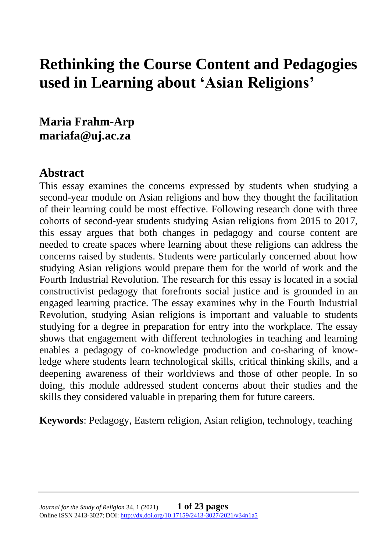# **Rethinking the Course Content and Pedagogies used in Learning about 'Asian Religions'**

**Maria Frahm-Arp mariafa@uj.ac.za**

### **Abstract**

This essay examines the concerns expressed by students when studying a second-year module on Asian religions and how they thought the facilitation of their learning could be most effective. Following research done with three cohorts of second-year students studying Asian religions from 2015 to 2017, this essay argues that both changes in pedagogy and course content are needed to create spaces where learning about these religions can address the concerns raised by students. Students were particularly concerned about how studying Asian religions would prepare them for the world of work and the Fourth Industrial Revolution. The research for this essay is located in a social constructivist pedagogy that forefronts social justice and is grounded in an engaged learning practice. The essay examines why in the Fourth Industrial Revolution, studying Asian religions is important and valuable to students studying for a degree in preparation for entry into the workplace. The essay shows that engagement with different technologies in teaching and learning enables a pedagogy of co-knowledge production and co-sharing of knowledge where students learn technological skills, critical thinking skills, and a deepening awareness of their worldviews and those of other people. In so doing, this module addressed student concerns about their studies and the skills they considered valuable in preparing them for future careers.

**Keywords**: Pedagogy, Eastern religion, Asian religion, technology, teaching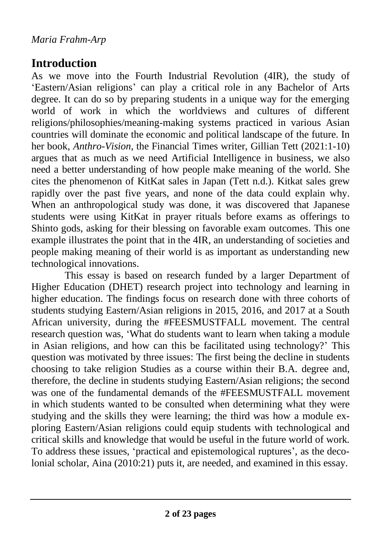# **Introduction**

As we move into the Fourth Industrial Revolution (4IR), the study of 'Eastern/Asian religions' can play a critical role in any Bachelor of Arts degree. It can do so by preparing students in a unique way for the emerging world of work in which the worldviews and cultures of different religions/philosophies/meaning-making systems practiced in various Asian countries will dominate the economic and political landscape of the future. In her book, *Anthro-Vision*, the Financial Times writer, Gillian Tett (2021:1-10) argues that as much as we need Artificial Intelligence in business, we also need a better understanding of how people make meaning of the world. She cites the phenomenon of KitKat sales in Japan (Tett n.d.). Kitkat sales grew rapidly over the past five years, and none of the data could explain why. When an anthropological study was done, it was discovered that Japanese students were using KitKat in prayer rituals before exams as offerings to Shinto gods, asking for their blessing on favorable exam outcomes. This one example illustrates the point that in the 4IR, an understanding of societies and people making meaning of their world is as important as understanding new technological innovations.

This essay is based on research funded by a larger Department of Higher Education (DHET) research project into technology and learning in higher education. The findings focus on research done with three cohorts of students studying Eastern/Asian religions in 2015, 2016, and 2017 at a South African university, during the #FEESMUSTFALL movement. The central research question was, 'What do students want to learn when taking a module in Asian religions, and how can this be facilitated using technology?' This question was motivated by three issues: The first being the decline in students choosing to take religion Studies as a course within their B.A. degree and, therefore, the decline in students studying Eastern/Asian religions; the second was one of the fundamental demands of the #FEESMUSTFALL movement in which students wanted to be consulted when determining what they were studying and the skills they were learning; the third was how a module exploring Eastern/Asian religions could equip students with technological and critical skills and knowledge that would be useful in the future world of work. To address these issues, 'practical and epistemological ruptures', as the decolonial scholar, Aina (2010:21) puts it, are needed, and examined in this essay.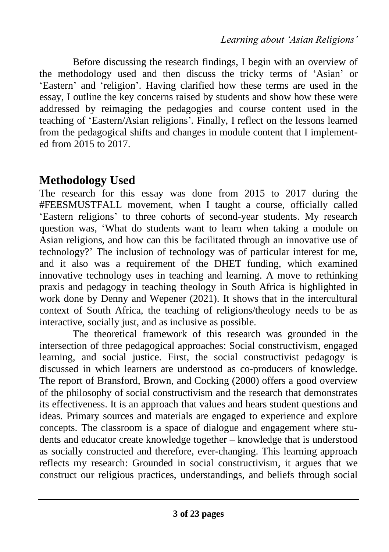Before discussing the research findings, I begin with an overview of the methodology used and then discuss the tricky terms of 'Asian' or 'Eastern' and 'religion'. Having clarified how these terms are used in the essay, I outline the key concerns raised by students and show how these were addressed by reimaging the pedagogies and course content used in the teaching of 'Eastern/Asian religions'. Finally, I reflect on the lessons learned from the pedagogical shifts and changes in module content that I implemented from 2015 to 2017.

## **Methodology Used**

The research for this essay was done from 2015 to 2017 during the #FEESMUSTFALL movement, when I taught a course, officially called 'Eastern religions' to three cohorts of second-year students. My research question was, 'What do students want to learn when taking a module on Asian religions, and how can this be facilitated through an innovative use of technology?' The inclusion of technology was of particular interest for me, and it also was a requirement of the DHET funding, which examined innovative technology uses in teaching and learning. A move to rethinking praxis and pedagogy in teaching theology in South Africa is highlighted in work done by Denny and Wepener (2021). It shows that in the intercultural context of South Africa, the teaching of religions/theology needs to be as interactive, socially just, and as inclusive as possible.

The theoretical framework of this research was grounded in the intersection of three pedagogical approaches: Social constructivism, engaged learning, and social justice. First, the social constructivist pedagogy is discussed in which learners are understood as co-producers of knowledge. The report of Bransford, Brown, and Cocking (2000) offers a good overview of the philosophy of social constructivism and the research that demonstrates its effectiveness. It is an approach that values and hears student questions and ideas. Primary sources and materials are engaged to experience and explore concepts. The classroom is a space of dialogue and engagement where students and educator create knowledge together – knowledge that is understood as socially constructed and therefore, ever-changing. This learning approach reflects my research: Grounded in social constructivism, it argues that we construct our religious practices, understandings, and beliefs through social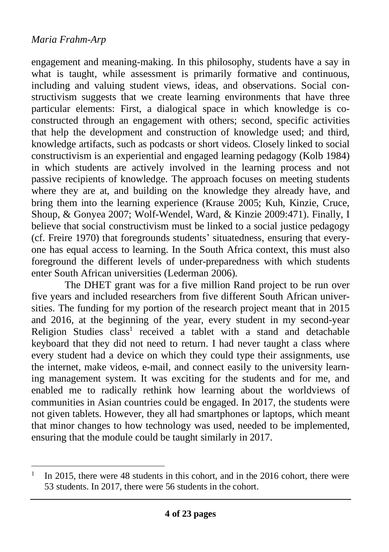engagement and meaning-making. In this philosophy, students have a say in what is taught, while assessment is primarily formative and continuous, including and valuing student views, ideas, and observations. Social constructivism suggests that we create learning environments that have three particular elements: First, a dialogical space in which knowledge is coconstructed through an engagement with others; second, specific activities that help the development and construction of knowledge used; and third, knowledge artifacts, such as podcasts or short videos. Closely linked to social constructivism is an experiential and engaged learning pedagogy (Kolb 1984) in which students are actively involved in the learning process and not passive recipients of knowledge. The approach focuses on meeting students where they are at, and building on the knowledge they already have, and bring them into the learning experience (Krause 2005; Kuh, Kinzie, Cruce, Shoup, & Gonyea 2007; Wolf-Wendel, Ward, & Kinzie 2009:471). Finally, I believe that social constructivism must be linked to a social justice pedagogy (cf. Freire 1970) that foregrounds students' situatedness, ensuring that everyone has equal access to learning. In the South Africa context, this must also foreground the different levels of under-preparedness with which students enter South African universities (Lederman 2006).

The DHET grant was for a five million Rand project to be run over five years and included researchers from five different South African universities. The funding for my portion of the research project meant that in 2015 and 2016, at the beginning of the year, every student in my second-year Religion Studies class<sup>1</sup> received a tablet with a stand and detachable keyboard that they did not need to return. I had never taught a class where every student had a device on which they could type their assignments, use the internet, make videos, e-mail, and connect easily to the university learning management system. It was exciting for the students and for me, and enabled me to radically rethink how learning about the worldviews of communities in Asian countries could be engaged. In 2017, the students were not given tablets. However, they all had smartphones or laptops, which meant that minor changes to how technology was used, needed to be implemented, ensuring that the module could be taught similarly in 2017.

<sup>1</sup> In 2015, there were 48 students in this cohort, and in the 2016 cohort, there were 53 students. In 2017, there were 56 students in the cohort.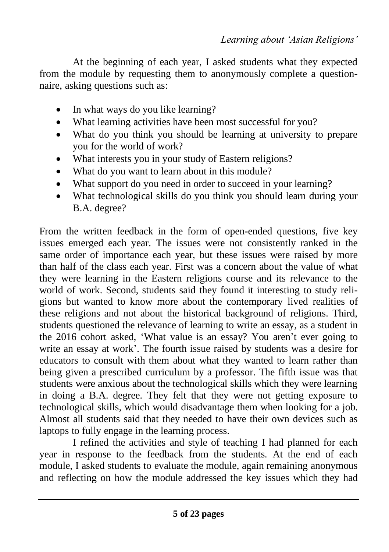At the beginning of each year, I asked students what they expected from the module by requesting them to anonymously complete a questionnaire, asking questions such as:

- In what ways do you like learning?
- What learning activities have been most successful for you?
- What do you think you should be learning at university to prepare you for the world of work?
- What interests you in your study of Eastern religions?
- What do you want to learn about in this module?
- What support do you need in order to succeed in your learning?
- What technological skills do you think you should learn during your B.A. degree?

From the written feedback in the form of open-ended questions, five key issues emerged each year. The issues were not consistently ranked in the same order of importance each year, but these issues were raised by more than half of the class each year. First was a concern about the value of what they were learning in the Eastern religions course and its relevance to the world of work. Second, students said they found it interesting to study religions but wanted to know more about the contemporary lived realities of these religions and not about the historical background of religions. Third, students questioned the relevance of learning to write an essay, as a student in the 2016 cohort asked, 'What value is an essay? You aren't ever going to write an essay at work'. The fourth issue raised by students was a desire for educators to consult with them about what they wanted to learn rather than being given a prescribed curriculum by a professor. The fifth issue was that students were anxious about the technological skills which they were learning in doing a B.A. degree. They felt that they were not getting exposure to technological skills, which would disadvantage them when looking for a job. Almost all students said that they needed to have their own devices such as laptops to fully engage in the learning process.

I refined the activities and style of teaching I had planned for each year in response to the feedback from the students. At the end of each module, I asked students to evaluate the module, again remaining anonymous and reflecting on how the module addressed the key issues which they had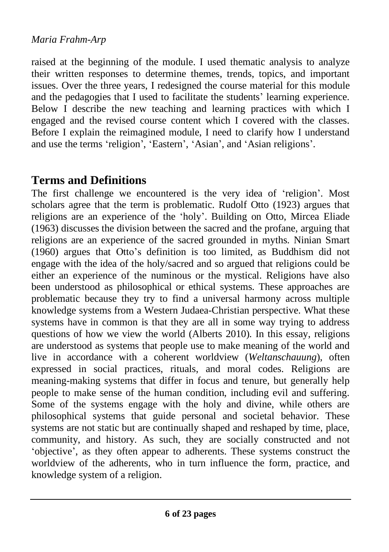raised at the beginning of the module. I used thematic analysis to analyze their written responses to determine themes, trends, topics, and important issues. Over the three years, I redesigned the course material for this module and the pedagogies that I used to facilitate the students' learning experience. Below I describe the new teaching and learning practices with which I engaged and the revised course content which I covered with the classes. Before I explain the reimagined module, I need to clarify how I understand and use the terms 'religion', 'Eastern', 'Asian', and 'Asian religions'.

### **Terms and Definitions**

The first challenge we encountered is the very idea of 'religion'. Most scholars agree that the term is problematic. Rudolf Otto (1923) argues that religions are an experience of the 'holy'. Building on Otto, Mircea Eliade (1963) discusses the division between the sacred and the profane, arguing that religions are an experience of the sacred grounded in myths. Ninian Smart (1960) argues that Otto's definition is too limited, as Buddhism did not engage with the idea of the holy/sacred and so argued that religions could be either an experience of the numinous or the mystical. Religions have also been understood as philosophical or ethical systems. These approaches are problematic because they try to find a universal harmony across multiple knowledge systems from a Western Judaea-Christian perspective. What these systems have in common is that they are all in some way trying to address questions of how we view the world (Alberts 2010). In this essay, religions are understood as systems that people use to make meaning of the world and live in accordance with a coherent worldview (*Weltanschauung*), often expressed in social practices, rituals, and moral codes. Religions are meaning-making systems that differ in focus and tenure, but generally help people to make sense of the human condition, including evil and suffering. Some of the systems engage with the holy and divine, while others are philosophical systems that guide personal and societal behavior. These systems are not static but are continually shaped and reshaped by time, place, community, and history. As such, they are socially constructed and not 'objective', as they often appear to adherents. These systems construct the worldview of the adherents, who in turn influence the form, practice, and knowledge system of a religion.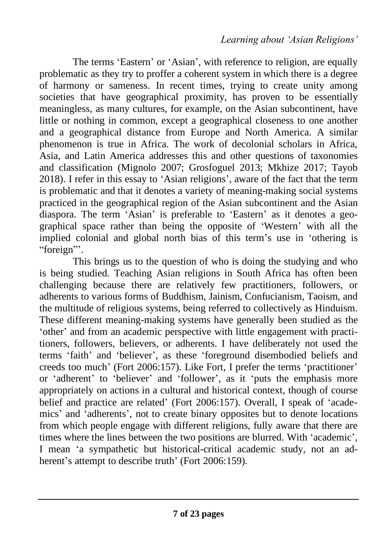The terms 'Eastern' or 'Asian', with reference to religion, are equally problematic as they try to proffer a coherent system in which there is a degree of harmony or sameness. In recent times, trying to create unity among societies that have geographical proximity, has proven to be essentially meaningless, as many cultures, for example, on the Asian subcontinent, have little or nothing in common, except a geographical closeness to one another and a geographical distance from Europe and North America. A similar phenomenon is true in Africa. The work of decolonial scholars in Africa, Asia, and Latin America addresses this and other questions of taxonomies and classification (Mignolo 2007; Grosfoguel 2013; Mkhize 2017; Tayob 2018). I refer in this essay to 'Asian religions', aware of the fact that the term is problematic and that it denotes a variety of meaning-making social systems practiced in the geographical region of the Asian subcontinent and the Asian diaspora. The term 'Asian' is preferable to 'Eastern' as it denotes a geographical space rather than being the opposite of 'Western' with all the implied colonial and global north bias of this term's use in 'othering is "foreign"'.

This brings us to the question of who is doing the studying and who is being studied. Teaching Asian religions in South Africa has often been challenging because there are relatively few practitioners, followers, or adherents to various forms of Buddhism, Jainism, Confucianism, Taoism, and the multitude of religious systems, being referred to collectively as Hinduism. These different meaning-making systems have generally been studied as the 'other' and from an academic perspective with little engagement with practitioners, followers, believers, or adherents. I have deliberately not used the terms 'faith' and 'believer', as these 'foreground disembodied beliefs and creeds too much' (Fort 2006:157). Like Fort, I prefer the terms 'practitioner' or 'adherent' to 'believer' and 'follower', as it 'puts the emphasis more appropriately on actions in a cultural and historical context, though of course belief and practice are related' (Fort 2006:157). Overall, I speak of 'academics' and 'adherents', not to create binary opposites but to denote locations from which people engage with different religions, fully aware that there are times where the lines between the two positions are blurred. With 'academic', I mean 'a sympathetic but historical-critical academic study, not an adherent's attempt to describe truth' (Fort 2006:159).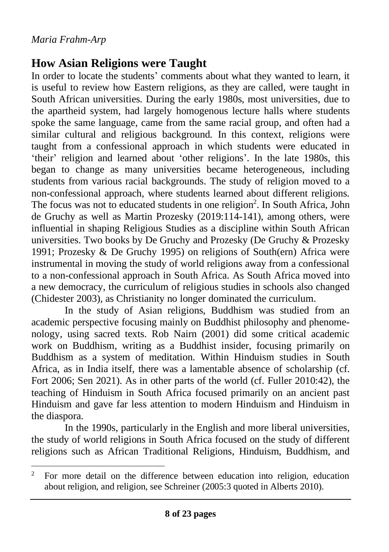### **How Asian Religions were Taught**

In order to locate the students' comments about what they wanted to learn, it is useful to review how Eastern religions, as they are called, were taught in South African universities. During the early 1980s, most universities, due to the apartheid system, had largely homogenous lecture halls where students spoke the same language, came from the same racial group, and often had a similar cultural and religious background. In this context, religions were taught from a confessional approach in which students were educated in 'their' religion and learned about 'other religions'. In the late 1980s, this began to change as many universities became heterogeneous, including students from various racial backgrounds. The study of religion moved to a non-confessional approach, where students learned about different religions. The focus was not to educated students in one religion<sup>2</sup>. In South Africa, John de Gruchy as well as Martin Prozesky (2019:114-141), among others, were influential in shaping Religious Studies as a discipline within South African universities. Two books by De Gruchy and Prozesky (De Gruchy & Prozesky 1991; Prozesky & De Gruchy 1995) on religions of South(ern) Africa were instrumental in moving the study of world religions away from a confessional to a non-confessional approach in South Africa. As South Africa moved into a new democracy, the curriculum of religious studies in schools also changed (Chidester 2003), as Christianity no longer dominated the curriculum.

In the study of Asian religions, Buddhism was studied from an academic perspective focusing mainly on Buddhist philosophy and phenomenology, using sacred texts. Rob Nairn (2001) did some critical academic work on Buddhism, writing as a Buddhist insider, focusing primarily on Buddhism as a system of meditation. Within Hinduism studies in South Africa, as in India itself, there was a lamentable absence of scholarship (cf. Fort 2006; Sen 2021). As in other parts of the world (cf. Fuller 2010:42), the teaching of Hinduism in South Africa focused primarily on an ancient past Hinduism and gave far less attention to modern Hinduism and Hinduism in the diaspora.

In the 1990s, particularly in the English and more liberal universities, the study of world religions in South Africa focused on the study of different religions such as African Traditional Religions, Hinduism, Buddhism, and

<sup>&</sup>lt;sup>2</sup> For more detail on the difference between education into religion, education about religion, and religion, see Schreiner (2005:3 quoted in Alberts 2010).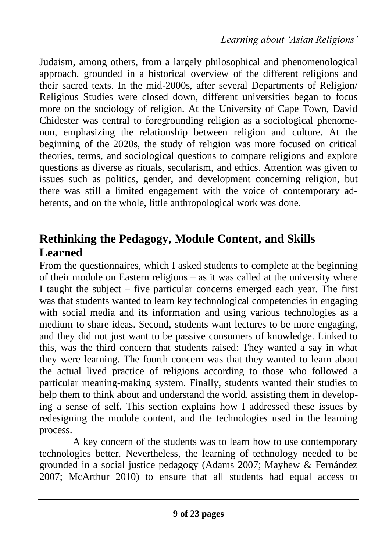Judaism, among others, from a largely philosophical and phenomenological approach, grounded in a historical overview of the different religions and their sacred texts. In the mid-2000s, after several Departments of Religion/ Religious Studies were closed down, different universities began to focus more on the sociology of religion. At the University of Cape Town, David Chidester was central to foregrounding religion as a sociological phenomenon, emphasizing the relationship between religion and culture. At the beginning of the 2020s, the study of religion was more focused on critical theories, terms, and sociological questions to compare religions and explore questions as diverse as rituals, secularism, and ethics. Attention was given to issues such as politics, gender, and development concerning religion, but there was still a limited engagement with the voice of contemporary adherents, and on the whole, little anthropological work was done.

## **Rethinking the Pedagogy, Module Content, and Skills Learned**

From the questionnaires, which I asked students to complete at the beginning of their module on Eastern religions – as it was called at the university where I taught the subject – five particular concerns emerged each year. The first was that students wanted to learn key technological competencies in engaging with social media and its information and using various technologies as a medium to share ideas. Second, students want lectures to be more engaging, and they did not just want to be passive consumers of knowledge. Linked to this, was the third concern that students raised: They wanted a say in what they were learning. The fourth concern was that they wanted to learn about the actual lived practice of religions according to those who followed a particular meaning-making system. Finally, students wanted their studies to help them to think about and understand the world, assisting them in developing a sense of self. This section explains how I addressed these issues by redesigning the module content, and the technologies used in the learning process.

A key concern of the students was to learn how to use contemporary technologies better. Nevertheless, the learning of technology needed to be grounded in a social justice pedagogy (Adams 2007; Mayhew & Fernández 2007; McArthur 2010) to ensure that all students had equal access to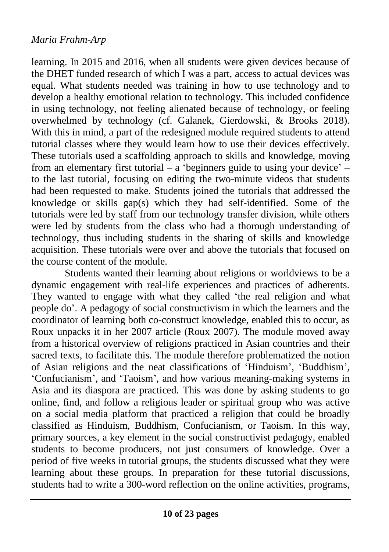learning. In 2015 and 2016, when all students were given devices because of the DHET funded research of which I was a part, access to actual devices was equal. What students needed was training in how to use technology and to develop a healthy emotional relation to technology. This included confidence in using technology, not feeling alienated because of technology, or feeling overwhelmed by technology (cf. Galanek, Gierdowski, & Brooks 2018). With this in mind, a part of the redesigned module required students to attend tutorial classes where they would learn how to use their devices effectively. These tutorials used a scaffolding approach to skills and knowledge, moving from an elementary first tutorial – a 'beginners guide to using your device' – to the last tutorial, focusing on editing the two-minute videos that students had been requested to make. Students joined the tutorials that addressed the knowledge or skills gap(s) which they had self-identified. Some of the tutorials were led by staff from our technology transfer division, while others were led by students from the class who had a thorough understanding of technology, thus including students in the sharing of skills and knowledge acquisition. These tutorials were over and above the tutorials that focused on the course content of the module.

Students wanted their learning about religions or worldviews to be a dynamic engagement with real-life experiences and practices of adherents. They wanted to engage with what they called 'the real religion and what people do'. A pedagogy of social constructivism in which the learners and the coordinator of learning both co-construct knowledge, enabled this to occur, as Roux unpacks it in her 2007 article (Roux 2007). The module moved away from a historical overview of religions practiced in Asian countries and their sacred texts, to facilitate this. The module therefore problematized the notion of Asian religions and the neat classifications of 'Hinduism', 'Buddhism', 'Confucianism', and 'Taoism', and how various meaning-making systems in Asia and its diaspora are practiced. This was done by asking students to go online, find, and follow a religious leader or spiritual group who was active on a social media platform that practiced a religion that could be broadly classified as Hinduism, Buddhism, Confucianism, or Taoism. In this way, primary sources, a key element in the social constructivist pedagogy, enabled students to become producers, not just consumers of knowledge. Over a period of five weeks in tutorial groups, the students discussed what they were learning about these groups. In preparation for these tutorial discussions, students had to write a 300-word reflection on the online activities, programs,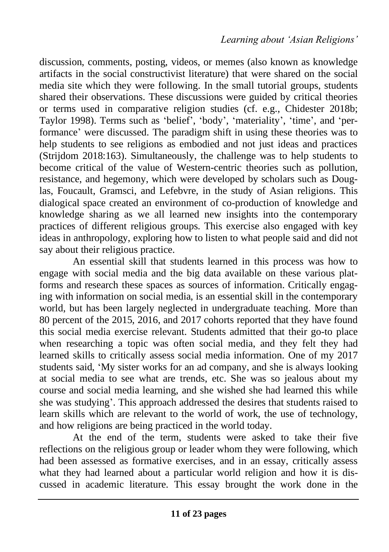discussion, comments, posting, videos, or memes (also known as knowledge artifacts in the social constructivist literature) that were shared on the social media site which they were following. In the small tutorial groups, students shared their observations. These discussions were guided by critical theories or terms used in comparative religion studies (cf. e.g., Chidester 2018b; Taylor 1998). Terms such as 'belief', 'body', 'materiality', 'time', and 'performance' were discussed. The paradigm shift in using these theories was to help students to see religions as embodied and not just ideas and practices (Strijdom 2018:163). Simultaneously, the challenge was to help students to become critical of the value of Western-centric theories such as pollution, resistance, and hegemony, which were developed by scholars such as Douglas, Foucault, Gramsci, and Lefebvre, in the study of Asian religions. This dialogical space created an environment of co-production of knowledge and knowledge sharing as we all learned new insights into the contemporary practices of different religious groups. This exercise also engaged with key ideas in anthropology, exploring how to listen to what people said and did not say about their religious practice.

An essential skill that students learned in this process was how to engage with social media and the big data available on these various platforms and research these spaces as sources of information. Critically engaging with information on social media, is an essential skill in the contemporary world, but has been largely neglected in undergraduate teaching. More than 80 percent of the 2015, 2016, and 2017 cohorts reported that they have found this social media exercise relevant. Students admitted that their go-to place when researching a topic was often social media, and they felt they had learned skills to critically assess social media information. One of my 2017 students said, 'My sister works for an ad company, and she is always looking at social media to see what are trends, etc. She was so jealous about my course and social media learning, and she wished she had learned this while she was studying'. This approach addressed the desires that students raised to learn skills which are relevant to the world of work, the use of technology, and how religions are being practiced in the world today.

At the end of the term, students were asked to take their five reflections on the religious group or leader whom they were following, which had been assessed as formative exercises, and in an essay, critically assess what they had learned about a particular world religion and how it is discussed in academic literature. This essay brought the work done in the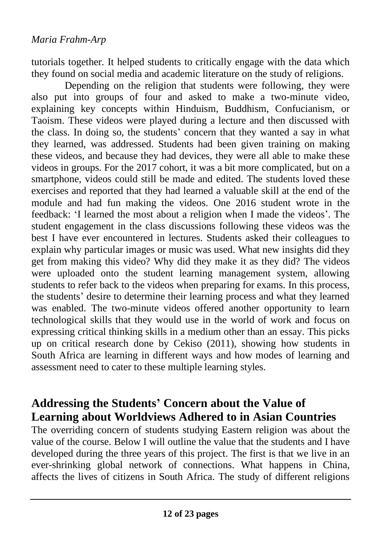tutorials together. It helped students to critically engage with the data which they found on social media and academic literature on the study of religions.

Depending on the religion that students were following, they were also put into groups of four and asked to make a two-minute video, explaining key concepts within Hinduism, Buddhism, Confucianism, or Taoism. These videos were played during a lecture and then discussed with the class. In doing so, the students' concern that they wanted a say in what they learned, was addressed. Students had been given training on making these videos, and because they had devices, they were all able to make these videos in groups. For the 2017 cohort, it was a bit more complicated, but on a smartphone, videos could still be made and edited. The students loved these exercises and reported that they had learned a valuable skill at the end of the module and had fun making the videos. One 2016 student wrote in the feedback: 'I learned the most about a religion when I made the videos'. The student engagement in the class discussions following these videos was the best I have ever encountered in lectures. Students asked their colleagues to explain why particular images or music was used. What new insights did they get from making this video? Why did they make it as they did? The videos were uploaded onto the student learning management system, allowing students to refer back to the videos when preparing for exams. In this process, the students' desire to determine their learning process and what they learned was enabled. The two-minute videos offered another opportunity to learn technological skills that they would use in the world of work and focus on expressing critical thinking skills in a medium other than an essay. This picks up on critical research done by Cekiso (2011), showing how students in South Africa are learning in different ways and how modes of learning and assessment need to cater to these multiple learning styles.

### **Addressing the Students' Concern about the Value of Learning about Worldviews Adhered to in Asian Countries**

The overriding concern of students studying Eastern religion was about the value of the course. Below I will outline the value that the students and I have developed during the three years of this project. The first is that we live in an ever-shrinking global network of connections. What happens in China, affects the lives of citizens in South Africa. The study of different religions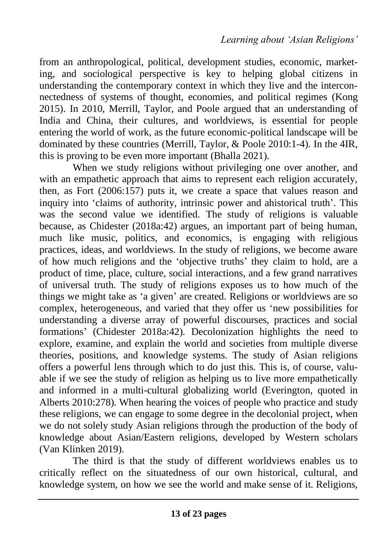from an anthropological, political, development studies, economic, marketing, and sociological perspective is key to helping global citizens in understanding the contemporary context in which they live and the interconnectedness of systems of thought, economies, and political regimes (Kong 2015). In 2010, Merrill, Taylor, and Poole argued that an understanding of India and China, their cultures, and worldviews, is essential for people entering the world of work, as the future economic-political landscape will be dominated by these countries (Merrill, Taylor, & Poole 2010:1-4). In the 4IR, this is proving to be even more important (Bhalla 2021).

When we study religions without privileging one over another, and with an empathetic approach that aims to represent each religion accurately, then, as Fort (2006:157) puts it, we create a space that values reason and inquiry into 'claims of authority, intrinsic power and ahistorical truth'. This was the second value we identified. The study of religions is valuable because, as Chidester (2018a:42) argues, an important part of being human, much like music, politics, and economics, is engaging with religious practices, ideas, and worldviews. In the study of religions, we become aware of how much religions and the 'objective truths' they claim to hold, are a product of time, place, culture, social interactions, and a few grand narratives of universal truth. The study of religions exposes us to how much of the things we might take as 'a given' are created. Religions or worldviews are so complex, heterogeneous, and varied that they offer us 'new possibilities for understanding a diverse array of powerful discourses, practices and social formations' (Chidester 2018a:42). Decolonization highlights the need to explore, examine, and explain the world and societies from multiple diverse theories, positions, and knowledge systems. The study of Asian religions offers a powerful lens through which to do just this. This is, of course, valuable if we see the study of religion as helping us to live more empathetically and informed in a multi-cultural globalizing world (Everington, quoted in Alberts 2010:278). When hearing the voices of people who practice and study these religions, we can engage to some degree in the decolonial project, when we do not solely study Asian religions through the production of the body of knowledge about Asian/Eastern religions, developed by Western scholars (Van Klinken 2019).

The third is that the study of different worldviews enables us to critically reflect on the situatedness of our own historical, cultural, and knowledge system, on how we see the world and make sense of it. Religions,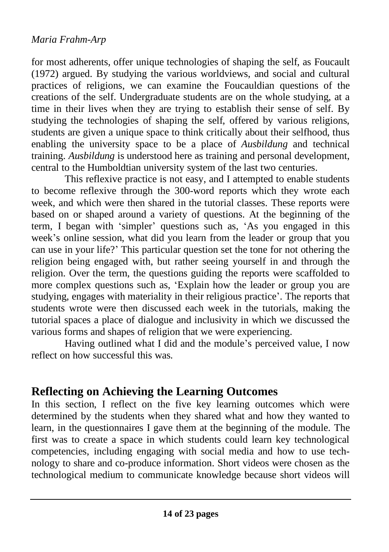for most adherents, offer unique technologies of shaping the self, as Foucault (1972) argued. By studying the various worldviews, and social and cultural practices of religions, we can examine the Foucauldian questions of the creations of the self. Undergraduate students are on the whole studying, at a time in their lives when they are trying to establish their sense of self. By studying the technologies of shaping the self, offered by various religions, students are given a unique space to think critically about their selfhood, thus enabling the university space to be a place of *Ausbildung* and technical training. *Ausbildung* is understood here as training and personal development, central to the Humboldtian university system of the last two centuries.

This reflexive practice is not easy, and I attempted to enable students to become reflexive through the 300-word reports which they wrote each week, and which were then shared in the tutorial classes. These reports were based on or shaped around a variety of questions. At the beginning of the term, I began with 'simpler' questions such as, 'As you engaged in this week's online session, what did you learn from the leader or group that you can use in your life?' This particular question set the tone for not othering the religion being engaged with, but rather seeing yourself in and through the religion. Over the term, the questions guiding the reports were scaffolded to more complex questions such as, 'Explain how the leader or group you are studying, engages with materiality in their religious practice'. The reports that students wrote were then discussed each week in the tutorials, making the tutorial spaces a place of dialogue and inclusivity in which we discussed the various forms and shapes of religion that we were experiencing.

Having outlined what I did and the module's perceived value, I now reflect on how successful this was.

### **Reflecting on Achieving the Learning Outcomes**

In this section, I reflect on the five key learning outcomes which were determined by the students when they shared what and how they wanted to learn, in the questionnaires I gave them at the beginning of the module. The first was to create a space in which students could learn key technological competencies, including engaging with social media and how to use technology to share and co-produce information. Short videos were chosen as the technological medium to communicate knowledge because short videos will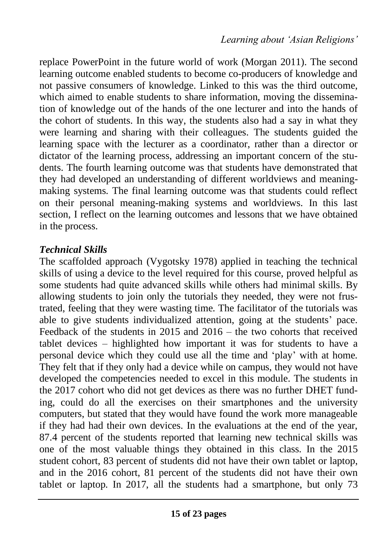replace PowerPoint in the future world of work (Morgan 2011). The second learning outcome enabled students to become co-producers of knowledge and not passive consumers of knowledge. Linked to this was the third outcome, which aimed to enable students to share information, moving the dissemination of knowledge out of the hands of the one lecturer and into the hands of the cohort of students. In this way, the students also had a say in what they were learning and sharing with their colleagues. The students guided the learning space with the lecturer as a coordinator, rather than a director or dictator of the learning process, addressing an important concern of the students. The fourth learning outcome was that students have demonstrated that they had developed an understanding of different worldviews and meaningmaking systems. The final learning outcome was that students could reflect on their personal meaning-making systems and worldviews. In this last section, I reflect on the learning outcomes and lessons that we have obtained in the process.

### *Technical Skills*

The scaffolded approach (Vygotsky 1978) applied in teaching the technical skills of using a device to the level required for this course, proved helpful as some students had quite advanced skills while others had minimal skills. By allowing students to join only the tutorials they needed, they were not frustrated, feeling that they were wasting time. The facilitator of the tutorials was able to give students individualized attention, going at the students' pace. Feedback of the students in 2015 and 2016 – the two cohorts that received tablet devices – highlighted how important it was for students to have a personal device which they could use all the time and 'play' with at home. They felt that if they only had a device while on campus, they would not have developed the competencies needed to excel in this module. The students in the 2017 cohort who did not get devices as there was no further DHET funding, could do all the exercises on their smartphones and the university computers, but stated that they would have found the work more manageable if they had had their own devices. In the evaluations at the end of the year, 87.4 percent of the students reported that learning new technical skills was one of the most valuable things they obtained in this class. In the 2015 student cohort, 83 percent of students did not have their own tablet or laptop, and in the 2016 cohort, 81 percent of the students did not have their own tablet or laptop. In 2017, all the students had a smartphone, but only 73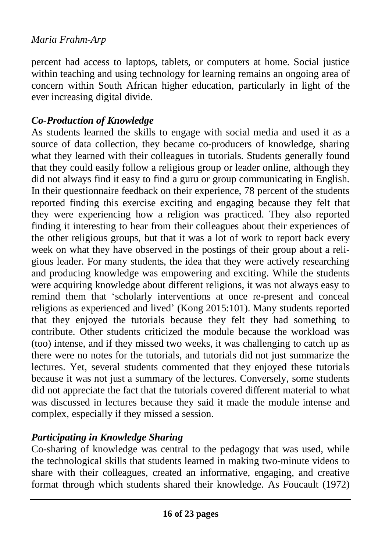percent had access to laptops, tablets, or computers at home. Social justice within teaching and using technology for learning remains an ongoing area of concern within South African higher education, particularly in light of the ever increasing digital divide.

#### *Co-Production of Knowledge*

As students learned the skills to engage with social media and used it as a source of data collection, they became co-producers of knowledge, sharing what they learned with their colleagues in tutorials. Students generally found that they could easily follow a religious group or leader online, although they did not always find it easy to find a guru or group communicating in English. In their questionnaire feedback on their experience, 78 percent of the students reported finding this exercise exciting and engaging because they felt that they were experiencing how a religion was practiced. They also reported finding it interesting to hear from their colleagues about their experiences of the other religious groups, but that it was a lot of work to report back every week on what they have observed in the postings of their group about a religious leader. For many students, the idea that they were actively researching and producing knowledge was empowering and exciting. While the students were acquiring knowledge about different religions, it was not always easy to remind them that 'scholarly interventions at once re-present and conceal religions as experienced and lived' (Kong 2015:101). Many students reported that they enjoyed the tutorials because they felt they had something to contribute. Other students criticized the module because the workload was (too) intense, and if they missed two weeks, it was challenging to catch up as there were no notes for the tutorials, and tutorials did not just summarize the lectures. Yet, several students commented that they enjoyed these tutorials because it was not just a summary of the lectures. Conversely, some students did not appreciate the fact that the tutorials covered different material to what was discussed in lectures because they said it made the module intense and complex, especially if they missed a session.

### *Participating in Knowledge Sharing*

Co-sharing of knowledge was central to the pedagogy that was used, while the technological skills that students learned in making two-minute videos to share with their colleagues, created an informative, engaging, and creative format through which students shared their knowledge. As Foucault (1972)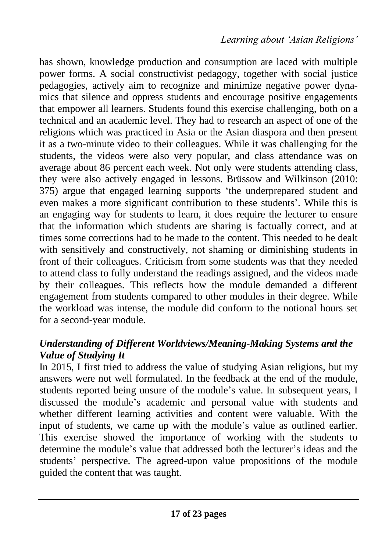has shown, knowledge production and consumption are laced with multiple power forms. A social constructivist pedagogy, together with social justice pedagogies, actively aim to recognize and minimize negative power dynamics that silence and oppress students and encourage positive engagements that empower all learners. Students found this exercise challenging, both on a technical and an academic level. They had to research an aspect of one of the religions which was practiced in Asia or the Asian diaspora and then present it as a two-minute video to their colleagues. While it was challenging for the students, the videos were also very popular, and class attendance was on average about 86 percent each week. Not only were students attending class, they were also actively engaged in lessons. Brüssow and Wilkinson (2010: 375) argue that engaged learning supports 'the underprepared student and even makes a more significant contribution to these students'. While this is an engaging way for students to learn, it does require the lecturer to ensure that the information which students are sharing is factually correct, and at times some corrections had to be made to the content. This needed to be dealt with sensitively and constructively, not shaming or diminishing students in front of their colleagues. Criticism from some students was that they needed to attend class to fully understand the readings assigned, and the videos made by their colleagues. This reflects how the module demanded a different engagement from students compared to other modules in their degree. While the workload was intense, the module did conform to the notional hours set for a second-year module.

### *Understanding of Different Worldviews/Meaning-Making Systems and the Value of Studying It*

In 2015, I first tried to address the value of studying Asian religions, but my answers were not well formulated. In the feedback at the end of the module, students reported being unsure of the module's value. In subsequent years, I discussed the module's academic and personal value with students and whether different learning activities and content were valuable. With the input of students, we came up with the module's value as outlined earlier. This exercise showed the importance of working with the students to determine the module's value that addressed both the lecturer's ideas and the students' perspective. The agreed-upon value propositions of the module guided the content that was taught.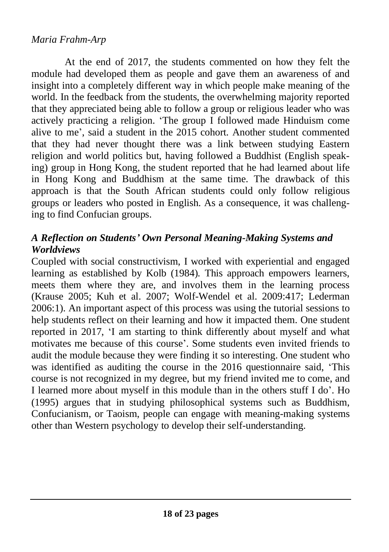At the end of 2017, the students commented on how they felt the module had developed them as people and gave them an awareness of and insight into a completely different way in which people make meaning of the world. In the feedback from the students, the overwhelming majority reported that they appreciated being able to follow a group or religious leader who was actively practicing a religion. 'The group I followed made Hinduism come alive to me', said a student in the 2015 cohort. Another student commented that they had never thought there was a link between studying Eastern religion and world politics but, having followed a Buddhist (English speaking) group in Hong Kong, the student reported that he had learned about life in Hong Kong and Buddhism at the same time. The drawback of this approach is that the South African students could only follow religious groups or leaders who posted in English. As a consequence, it was challenging to find Confucian groups.

### *A Reflection on Students' Own Personal Meaning-Making Systems and Worldviews*

Coupled with social constructivism, I worked with experiential and engaged learning as established by Kolb (1984). This approach empowers learners, meets them where they are, and involves them in the learning process (Krause 2005; Kuh et al. 2007; Wolf-Wendel et al. 2009:417; Lederman 2006:1). An important aspect of this process was using the tutorial sessions to help students reflect on their learning and how it impacted them. One student reported in 2017, 'I am starting to think differently about myself and what motivates me because of this course'. Some students even invited friends to audit the module because they were finding it so interesting. One student who was identified as auditing the course in the 2016 questionnaire said, 'This course is not recognized in my degree, but my friend invited me to come, and I learned more about myself in this module than in the others stuff I do'. Ho (1995) argues that in studying philosophical systems such as Buddhism, Confucianism, or Taoism, people can engage with meaning-making systems other than Western psychology to develop their self-understanding.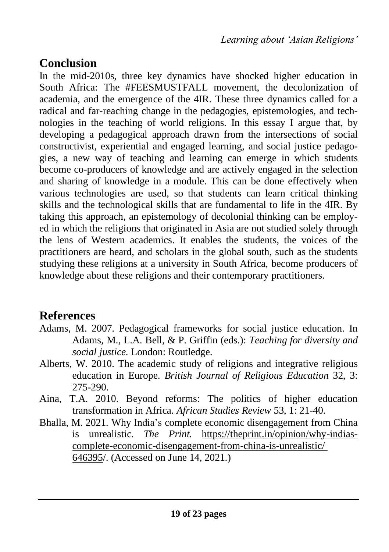## **Conclusion**

In the mid-2010s, three key dynamics have shocked higher education in South Africa: The #FEESMUSTFALL movement, the decolonization of academia, and the emergence of the 4IR. These three dynamics called for a radical and far-reaching change in the pedagogies, epistemologies, and technologies in the teaching of world religions. In this essay I argue that, by developing a pedagogical approach drawn from the intersections of social constructivist, experiential and engaged learning, and social justice pedagogies, a new way of teaching and learning can emerge in which students become co-producers of knowledge and are actively engaged in the selection and sharing of knowledge in a module. This can be done effectively when various technologies are used, so that students can learn critical thinking skills and the technological skills that are fundamental to life in the 4IR. By taking this approach, an epistemology of decolonial thinking can be employed in which the religions that originated in Asia are not studied solely through the lens of Western academics. It enables the students, the voices of the practitioners are heard, and scholars in the global south, such as the students studying these religions at a university in South Africa, become producers of knowledge about these religions and their contemporary practitioners.

### **References**

- Adams, M. 2007. Pedagogical frameworks for social justice education. In Adams, M., L.A. Bell, & P. Griffin (eds.): *Teaching for diversity and social justice.* London: Routledge.
- Alberts, W. 2010. The academic study of religions and integrative religious education in Europe. *British Journal of Religious Education* 32, 3: 275-290.
- Aina, T.A. 2010. Beyond reforms: The politics of higher education transformation in Africa. *African Studies Review* 53, 1: 21-40.
- Bhalla, M. 2021. Why India's complete economic disengagement from China is unrealistic. *The Print.* https://theprint.in/opinion/why-indiascomplete-economic-disengagement-from-china-is-unrealistic/ 646395/. (Accessed on June 14, 2021.)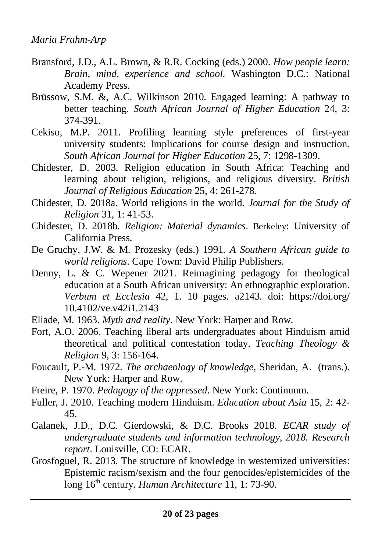- Bransford, J.D., A.L. Brown, & R.R. Cocking (eds.) 2000. *How people learn: Brain, mind, experience and school.* Washington D.C.: National Academy Press.
- Brüssow, S.M. &, A.C. Wilkinson 2010. Engaged learning: A pathway to better teaching. *South African Journal of Higher Education* 24, 3: 374-391.
- Cekiso, M.P. 2011. Profiling learning style preferences of first-year university students: Implications for course design and instruction. *South African Journal for Higher Education* 25, 7: 1298-1309.
- Chidester, D. 2003. Religion education in South Africa: Teaching and learning about religion, religions, and religious diversity. *British Journal of Religious Education* 25, 4: 261-278.
- Chidester, D. 2018a. World religions in the world. *Journal for the Study of Religion* 31, 1: 41-53.
- Chidester, D. 2018b. *Religion: Material dynamics*. Berkeley: University of California Press.
- De Gruchy, J.W. & M. Prozesky (eds.) 1991. *A Southern African guide to world religions*. Cape Town: David Philip Publishers.
- Denny, L. & C. Wepener 2021. Reimagining pedagogy for theological education at a South African university: An ethnographic exploration. *Verbum et Ecclesia* 42, 1. 10 pages. a2143. doi: https://doi.org/ 10.4102/ve.v42i1.2143
- Eliade, M. 1963. *Myth and reality*. New York: Harper and Row.
- Fort, A.O. 2006. Teaching liberal arts undergraduates about Hinduism amid theoretical and political contestation today. *Teaching Theology & Religion* 9, 3: 156-164.
- Foucault, P.-M. 1972. *The archaeology of knowledge*, Sheridan, A. (trans.). New York: Harper and Row.
- Freire, P. 1970. *Pedagogy of the oppressed*. New York: Continuum.
- Fuller, J. 2010. Teaching modern Hinduism. *Education about Asia* 15, 2: 42- 45.
- Galanek, J.D., D.C. Gierdowski, & D.C. Brooks 2018. *ECAR study of undergraduate students and information technology, 2018. Research report*. Louisville, CO: ECAR.
- Grosfoguel, R. 2013. The structure of knowledge in westernized universities: Epistemic racism/sexism and the four genocides/epistemicides of the long 16<sup>th</sup> century. *Human Architecture* 11, 1: 73-90.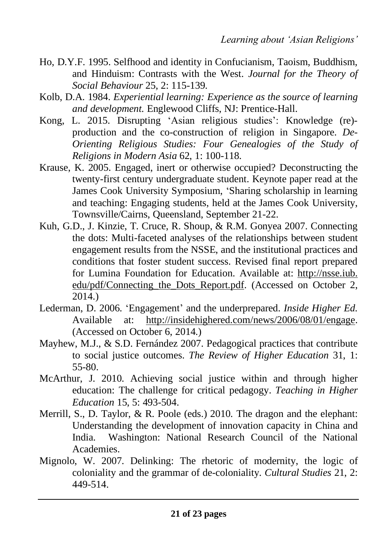- Ho, D.Y.F. 1995. Selfhood and identity in Confucianism, Taoism, Buddhism, and Hinduism: Contrasts with the West. *Journal for the Theory of Social Behaviour* 25, 2: 115-139.
- Kolb, D.A. 1984. *Experiential learning: Experience as the source of learning and development.* Englewood Cliffs, NJ: Prentice-Hall.
- Kong, L. 2015. Disrupting 'Asian religious studies': Knowledge (re) production and the co-construction of religion in Singapore. *De-Orienting Religious Studies: Four Genealogies of the Study of Religions in Modern Asia* 62, 1: 100-118.
- Krause, K. 2005. Engaged, inert or otherwise occupied? Deconstructing the twenty-first century undergraduate student. Keynote paper read at the James Cook University Symposium, 'Sharing scholarship in learning and teaching: Engaging students, held at the James Cook University, Townsville/Cairns, Queensland, September 21-22.
- Kuh, G.D., J. Kinzie, T. Cruce, R. Shoup, & R.M. Gonyea 2007. Connecting the dots: Multi-faceted analyses of the relationships between student engagement results from the NSSE, and the institutional practices and conditions that foster student success. Revised final report prepared for Lumina Foundation for Education. Available at: http://nsse.iub. edu/pdf/Connecting\_the\_Dots\_Report.pdf. (Accessed on October 2, 2014.)
- Lederman, D. 2006. 'Engagement' and the underprepared. *Inside Higher Ed*. Available at: http://insidehighered.com/news/2006/08/01/engage. (Accessed on October 6, 2014.)
- Mayhew, M.J., & S.D. Fernández 2007. Pedagogical practices that contribute to social justice outcomes. *The Review of Higher Education* 31, 1: 55-80.
- McArthur, J. 2010. Achieving social justice within and through higher education: The challenge for critical pedagogy. *Teaching in Higher Education* 15, 5: 493-504.
- Merrill, S., D. Taylor, & R. Poole (eds.) 2010. The dragon and the elephant: Understanding the development of innovation capacity in China and India. Washington: National Research Council of the National Academies.
- Mignolo, W. 2007. Delinking: The rhetoric of modernity, the logic of coloniality and the grammar of de-coloniality. *Cultural Studies* 21, 2: 449-514.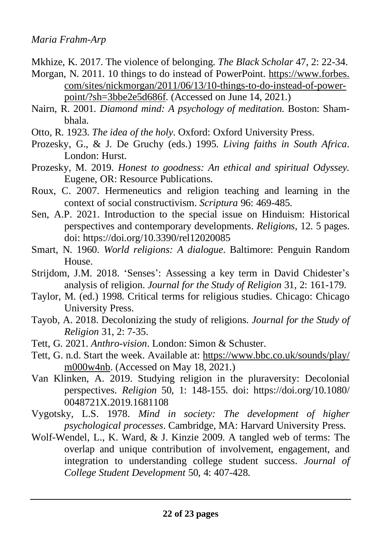- Mkhize, K. 2017. The violence of belonging. *The Black Scholar* 47, 2: 22-34.
- Morgan, N. 2011. 10 things to do instead of PowerPoint. https://www.forbes. com/sites/nickmorgan/2011/06/13/10-things-to-do-instead-of-powerpoint/?sh=3bbe2e5d686f. (Accessed on June 14, 2021.)
- Nairn, R. 2001. *Diamond mind: A psychology of meditation*. Boston: Shambhala.
- Otto, R. 1923. *The idea of the holy*. Oxford: Oxford University Press.
- Prozesky, G., & J. De Gruchy (eds.) 1995. *Living faiths in South Africa*. London: Hurst.
- Prozesky, M. 2019. *Honest to goodness: An ethical and spiritual Odyssey.* Eugene, OR: Resource Publications.
- Roux, C. 2007. Hermeneutics and religion teaching and learning in the context of social constructivism. *Scriptura* 96: 469-485.
- Sen, A.P. 2021. Introduction to the special issue on Hinduism: Historical perspectives and contemporary developments. *Religions,* 12. 5 pages. doi: https://doi.org/10.3390/rel12020085
- Smart, N. 1960. *World religions: A dialogue*. Baltimore: Penguin Random House.
- Strijdom, J.M. 2018. 'Senses': Assessing a key term in David Chidester's analysis of religion. *Journal for the Study of Religion* 31, 2: 161-179.
- Taylor, M. (ed.) 1998. Critical terms for religious studies. Chicago: Chicago University Press.
- Tayob, A. 2018. Decolonizing the study of religions. *Journal for the Study of Religion* 31, 2: 7-35.
- Tett, G. 2021. *Anthro-vision*. London: Simon & Schuster.
- Tett, G. n.d. Start the week. Available at: https://www.bbc.co.uk/sounds/play/ m000w4nb. (Accessed on May 18, 2021.)
- Van Klinken, A. 2019. Studying religion in the pluraversity: Decolonial perspectives. *Religion* 50, 1: 148-155. doi: https://doi.org/10.1080/ 0048721X.2019.1681108
- Vygotsky, L.S. 1978. *Mind in society: The development of higher psychological processes*. Cambridge, MA: Harvard University Press.
- Wolf-Wendel, L., K. Ward, & J. Kinzie 2009. A tangled web of terms: The overlap and unique contribution of involvement, engagement, and integration to understanding college student success. *Journal of College Student Development* 50, 4: 407-428.